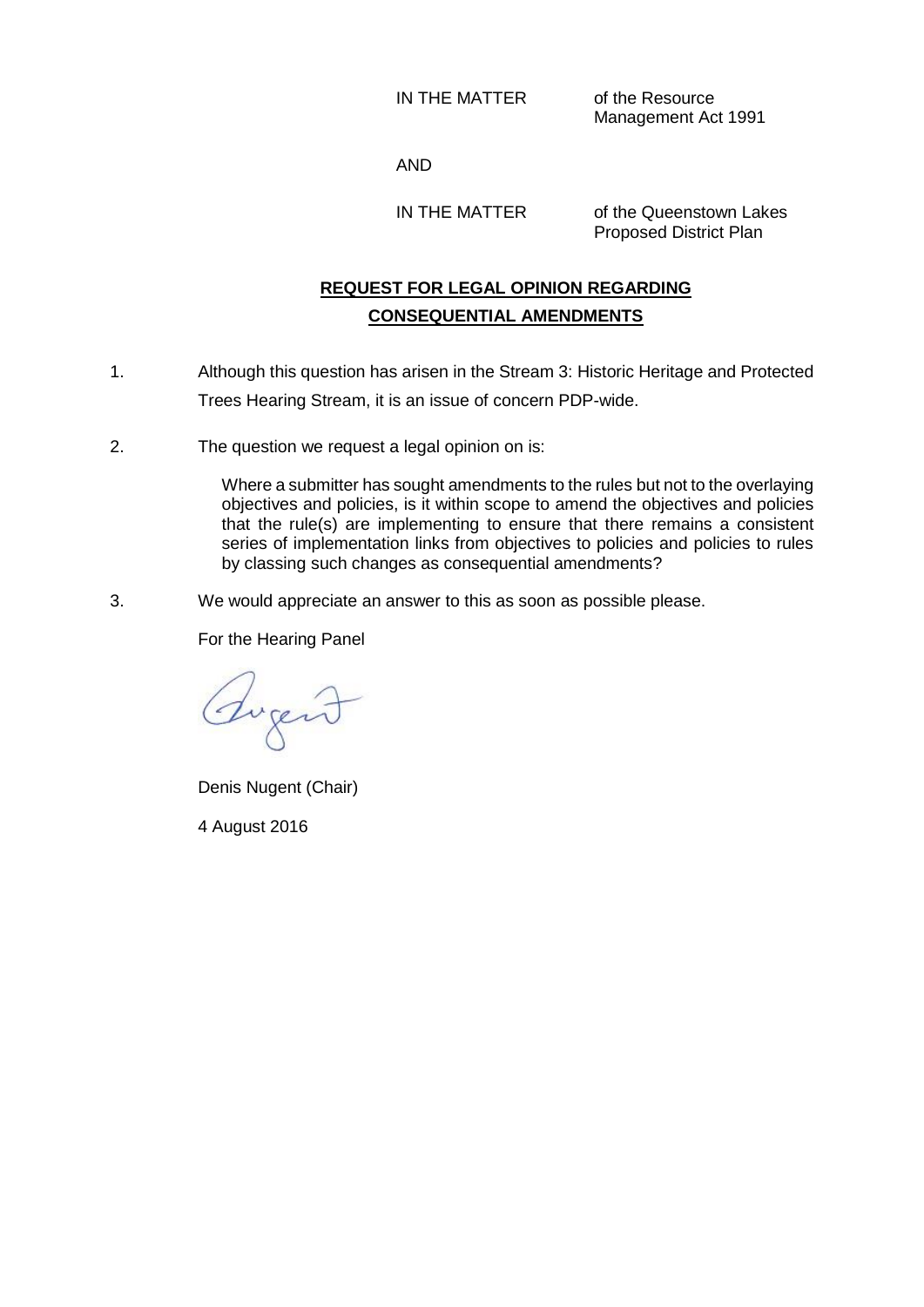IN THE MATTER of the Resource

Management Act 1991

AND

IN THE MATTER of the Queenstown Lakes Proposed District Plan

## **REQUEST FOR LEGAL OPINION REGARDING CONSEQUENTIAL AMENDMENTS**

- 1. Although this question has arisen in the Stream 3: Historic Heritage and Protected Trees Hearing Stream, it is an issue of concern PDP-wide.
- 2. The question we request a legal opinion on is:

Where a submitter has sought amendments to the rules but not to the overlaying objectives and policies, is it within scope to amend the objectives and policies that the rule(s) are implementing to ensure that there remains a consistent series of implementation links from objectives to policies and policies to rules by classing such changes as consequential amendments?

3. We would appreciate an answer to this as soon as possible please.

For the Hearing Panel

Tugend

Denis Nugent (Chair)

4 August 2016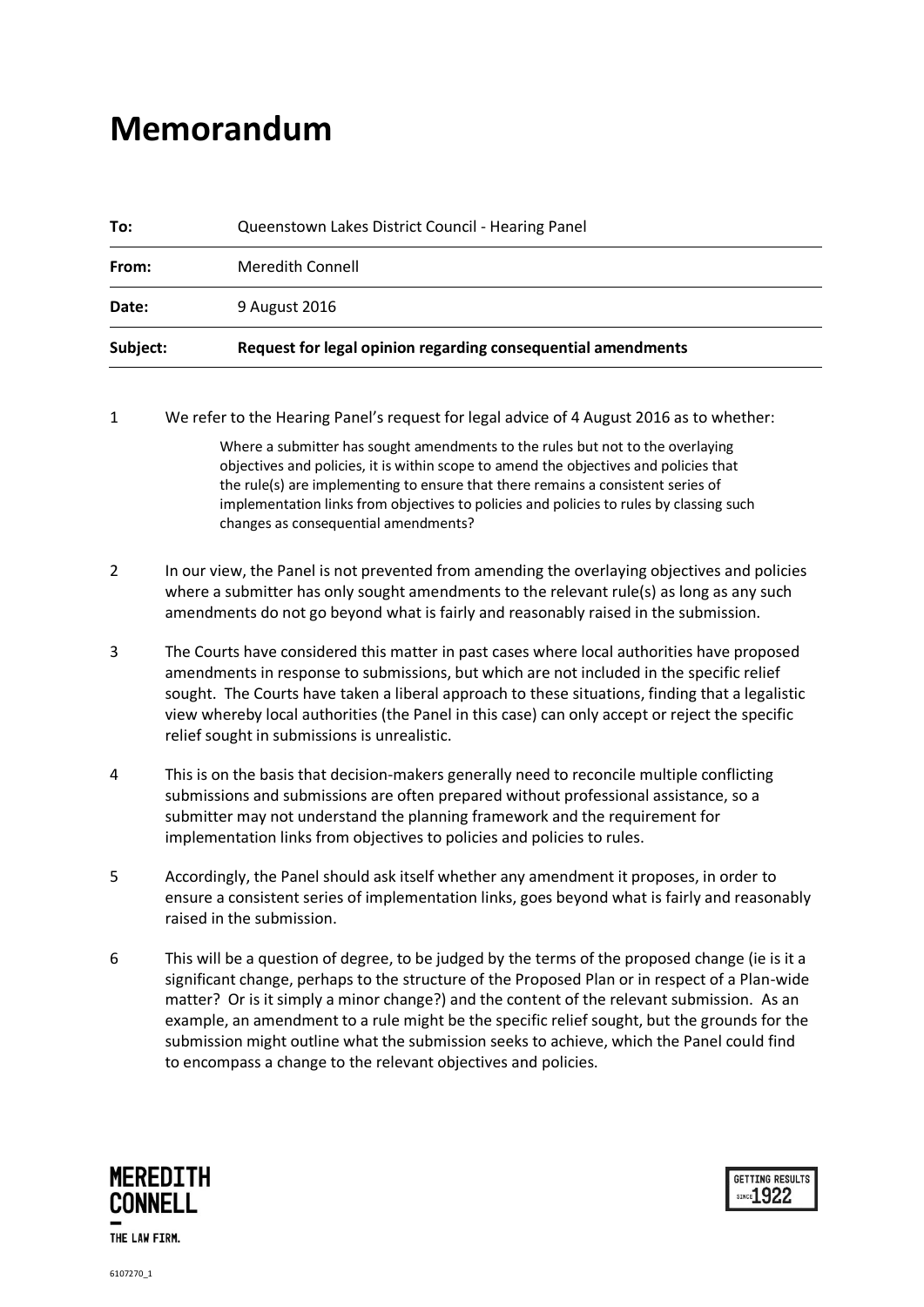## **Memorandum**

| Subject: | Request for legal opinion regarding consequential amendments |
|----------|--------------------------------------------------------------|
| Date:    | 9 August 2016                                                |
| From:    | Meredith Connell                                             |
| To:      | Queenstown Lakes District Council - Hearing Panel            |

1 We refer to the Hearing Panel's request for legal advice of 4 August 2016 as to whether:

Where a submitter has sought amendments to the rules but not to the overlaying objectives and policies, it is within scope to amend the objectives and policies that the rule(s) are implementing to ensure that there remains a consistent series of implementation links from objectives to policies and policies to rules by classing such changes as consequential amendments?

- 2 In our view, the Panel is not prevented from amending the overlaying objectives and policies where a submitter has only sought amendments to the relevant rule(s) as long as any such amendments do not go beyond what is fairly and reasonably raised in the submission.
- 3 The Courts have considered this matter in past cases where local authorities have proposed amendments in response to submissions, but which are not included in the specific relief sought. The Courts have taken a liberal approach to these situations, finding that a legalistic view whereby local authorities (the Panel in this case) can only accept or reject the specific relief sought in submissions is unrealistic.
- 4 This is on the basis that decision-makers generally need to reconcile multiple conflicting submissions and submissions are often prepared without professional assistance, so a submitter may not understand the planning framework and the requirement for implementation links from objectives to policies and policies to rules.
- 5 Accordingly, the Panel should ask itself whether any amendment it proposes, in order to ensure a consistent series of implementation links, goes beyond what is fairly and reasonably raised in the submission.
- 6 This will be a question of degree, to be judged by the terms of the proposed change (ie is it a significant change, perhaps to the structure of the Proposed Plan or in respect of a Plan-wide matter? Or is it simply a minor change?) and the content of the relevant submission. As an example, an amendment to a rule might be the specific relief sought, but the grounds for the submission might outline what the submission seeks to achieve, which the Panel could find to encompass a change to the relevant objectives and policies.